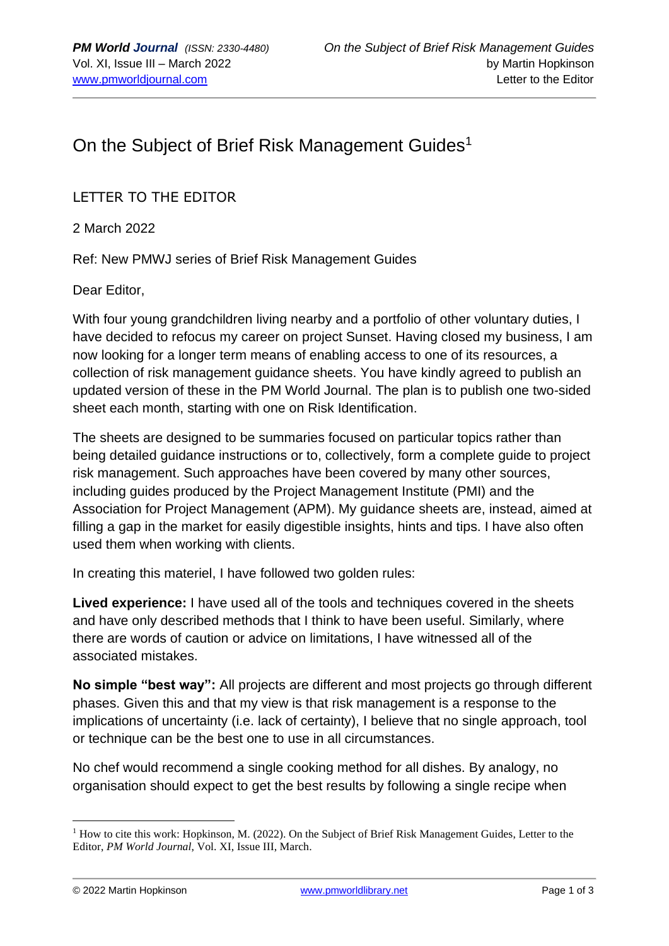## On the Subject of Brief Risk Management Guides<sup>1</sup>

LETTER TO THE EDITOR

2 March 2022

Ref: New PMWJ series of Brief Risk Management Guides

Dear Editor,

With four young grandchildren living nearby and a portfolio of other voluntary duties, I have decided to refocus my career on project Sunset. Having closed my business, I am now looking for a longer term means of enabling access to one of its resources, a collection of risk management guidance sheets. You have kindly agreed to publish an updated version of these in the PM World Journal. The plan is to publish one two-sided sheet each month, starting with one on Risk Identification.

The sheets are designed to be summaries focused on particular topics rather than being detailed guidance instructions or to, collectively, form a complete guide to project risk management. Such approaches have been covered by many other sources, including guides produced by the Project Management Institute (PMI) and the Association for Project Management (APM). My guidance sheets are, instead, aimed at filling a gap in the market for easily digestible insights, hints and tips. I have also often used them when working with clients.

In creating this materiel, I have followed two golden rules:

**Lived experience:** I have used all of the tools and techniques covered in the sheets and have only described methods that I think to have been useful. Similarly, where there are words of caution or advice on limitations, I have witnessed all of the associated mistakes.

**No simple "best way":** All projects are different and most projects go through different phases. Given this and that my view is that risk management is a response to the implications of uncertainty (i.e. lack of certainty), I believe that no single approach, tool or technique can be the best one to use in all circumstances.

No chef would recommend a single cooking method for all dishes. By analogy, no organisation should expect to get the best results by following a single recipe when

<sup>&</sup>lt;sup>1</sup> How to cite this work: Hopkinson, M. (2022). On the Subject of Brief Risk Management Guides, Letter to the Editor, *PM World Journal*, Vol. XI, Issue III, March.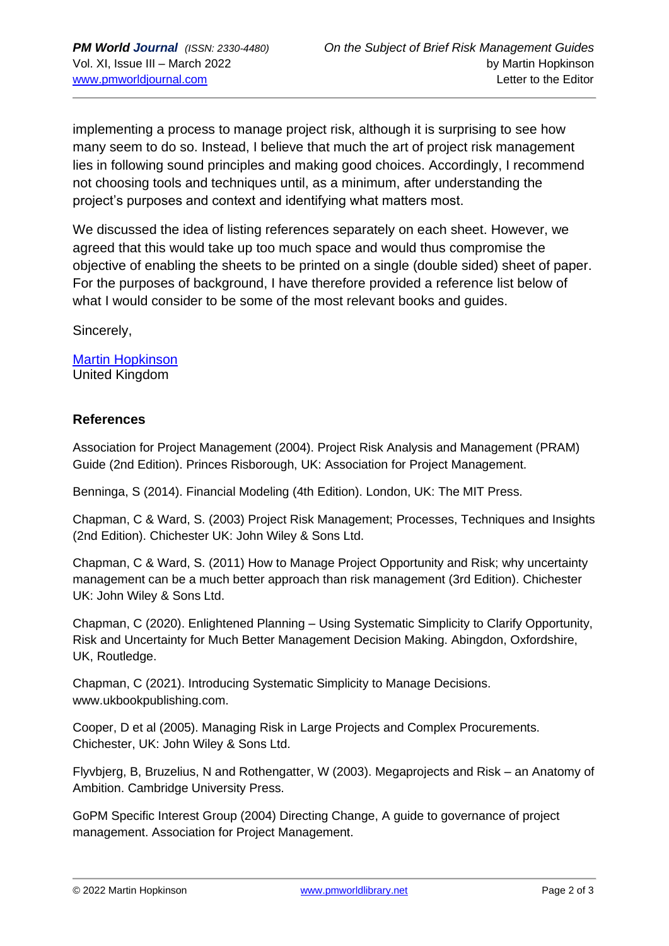implementing a process to manage project risk, although it is surprising to see how many seem to do so. Instead, I believe that much the art of project risk management lies in following sound principles and making good choices. Accordingly, I recommend not choosing tools and techniques until, as a minimum, after understanding the project's purposes and context and identifying what matters most.

We discussed the idea of listing references separately on each sheet. However, we agreed that this would take up too much space and would thus compromise the objective of enabling the sheets to be printed on a single (double sided) sheet of paper. For the purposes of background, I have therefore provided a reference list below of what I would consider to be some of the most relevant books and guides.

Sincerely,

[Martin Hopkinson](https://pmworldlibrary.net/authors/martin-hopkinson/) United Kingdom

## **References**

Association for Project Management (2004). Project Risk Analysis and Management (PRAM) Guide (2nd Edition). Princes Risborough, UK: Association for Project Management.

Benninga, S (2014). Financial Modeling (4th Edition). London, UK: The MIT Press.

Chapman, C & Ward, S. (2003) Project Risk Management; Processes, Techniques and Insights (2nd Edition). Chichester UK: John Wiley & Sons Ltd.

Chapman, C & Ward, S. (2011) How to Manage Project Opportunity and Risk; why uncertainty management can be a much better approach than risk management (3rd Edition). Chichester UK: John Wiley & Sons Ltd.

Chapman, C (2020). Enlightened Planning – Using Systematic Simplicity to Clarify Opportunity, Risk and Uncertainty for Much Better Management Decision Making. Abingdon, Oxfordshire, UK, Routledge.

Chapman, C (2021). Introducing Systematic Simplicity to Manage Decisions. www.ukbookpublishing.com.

Cooper, D et al (2005). Managing Risk in Large Projects and Complex Procurements. Chichester, UK: John Wiley & Sons Ltd.

Flyvbjerg, B, Bruzelius, N and Rothengatter, W (2003). Megaprojects and Risk – an Anatomy of Ambition. Cambridge University Press.

GoPM Specific Interest Group (2004) Directing Change, A guide to governance of project management. Association for Project Management.